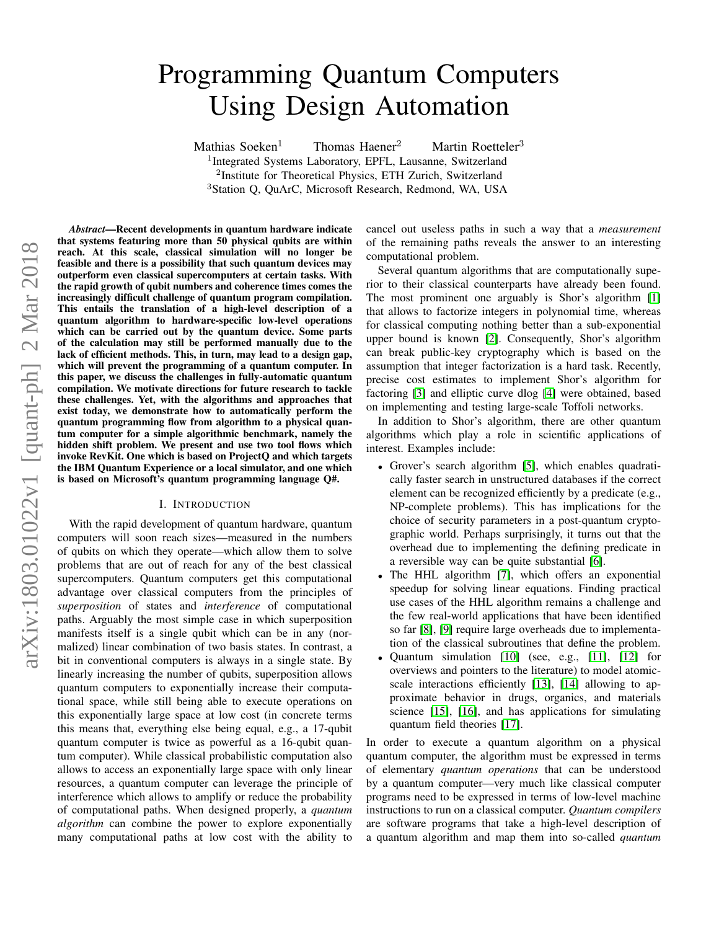# Programming Quantum Computers Using Design Automation

Mathias Soeken<sup>1</sup> Thomas Haener<sup>2</sup> Martin Roetteler<sup>3</sup> <sup>1</sup>Integrated Systems Laboratory, EPFL, Lausanne, Switzerland 2 Institute for Theoretical Physics, ETH Zurich, Switzerland <sup>3</sup>Station Q, QuArC, Microsoft Research, Redmond, WA, USA

*Abstract*—Recent developments in quantum hardware indicate that systems featuring more than 50 physical qubits are within reach. At this scale, classical simulation will no longer be feasible and there is a possibility that such quantum devices may outperform even classical supercomputers at certain tasks. With the rapid growth of qubit numbers and coherence times comes the increasingly difficult challenge of quantum program compilation. This entails the translation of a high-level description of a quantum algorithm to hardware-specific low-level operations which can be carried out by the quantum device. Some parts of the calculation may still be performed manually due to the lack of efficient methods. This, in turn, may lead to a design gap, which will prevent the programming of a quantum computer. In this paper, we discuss the challenges in fully-automatic quantum compilation. We motivate directions for future research to tackle these challenges. Yet, with the algorithms and approaches that exist today, we demonstrate how to automatically perform the quantum programming flow from algorithm to a physical quantum computer for a simple algorithmic benchmark, namely the hidden shift problem. We present and use two tool flows which invoke RevKit. One which is based on ProjectQ and which targets the IBM Quantum Experience or a local simulator, and one which is based on Microsoft's quantum programming language Q#.

## I. INTRODUCTION

With the rapid development of quantum hardware, quantum computers will soon reach sizes—measured in the numbers of qubits on which they operate—which allow them to solve problems that are out of reach for any of the best classical supercomputers. Quantum computers get this computational advantage over classical computers from the principles of *superposition* of states and *interference* of computational paths. Arguably the most simple case in which superposition manifests itself is a single qubit which can be in any (normalized) linear combination of two basis states. In contrast, a bit in conventional computers is always in a single state. By linearly increasing the number of qubits, superposition allows quantum computers to exponentially increase their computational space, while still being able to execute operations on this exponentially large space at low cost (in concrete terms this means that, everything else being equal, e.g., a 17-qubit quantum computer is twice as powerful as a 16-qubit quantum computer). While classical probabilistic computation also allows to access an exponentially large space with only linear resources, a quantum computer can leverage the principle of interference which allows to amplify or reduce the probability of computational paths. When designed properly, a *quantum algorithm* can combine the power to explore exponentially many computational paths at low cost with the ability to

cancel out useless paths in such a way that a *measurement* of the remaining paths reveals the answer to an interesting computational problem.

Several quantum algorithms that are computationally superior to their classical counterparts have already been found. The most prominent one arguably is Shor's algorithm [\[1\]](#page-8-0) that allows to factorize integers in polynomial time, whereas for classical computing nothing better than a sub-exponential upper bound is known [\[2\]](#page-8-1). Consequently, Shor's algorithm can break public-key cryptography which is based on the assumption that integer factorization is a hard task. Recently, precise cost estimates to implement Shor's algorithm for factoring [\[3\]](#page-8-2) and elliptic curve dlog [\[4\]](#page-8-3) were obtained, based on implementing and testing large-scale Toffoli networks.

In addition to Shor's algorithm, there are other quantum algorithms which play a role in scientific applications of interest. Examples include:

- Grover's search algorithm [\[5\]](#page-8-4), which enables quadratically faster search in unstructured databases if the correct element can be recognized efficiently by a predicate (e.g., NP-complete problems). This has implications for the choice of security parameters in a post-quantum cryptographic world. Perhaps surprisingly, it turns out that the overhead due to implementing the defining predicate in a reversible way can be quite substantial [\[6\]](#page-8-5).
- The HHL algorithm [\[7\]](#page-8-6), which offers an exponential speedup for solving linear equations. Finding practical use cases of the HHL algorithm remains a challenge and the few real-world applications that have been identified so far [\[8\]](#page-8-7), [\[9\]](#page-8-8) require large overheads due to implementation of the classical subroutines that define the problem.
- Quantum simulation [\[10\]](#page-8-9) (see, e.g., [\[11\]](#page-8-10), [\[12\]](#page-8-11) for overviews and pointers to the literature) to model atomicscale interactions efficiently [\[13\]](#page-8-12), [\[14\]](#page-8-13) allowing to approximate behavior in drugs, organics, and materials science [\[15\]](#page-8-14), [\[16\]](#page-8-15), and has applications for simulating quantum field theories [\[17\]](#page-8-16).

In order to execute a quantum algorithm on a physical quantum computer, the algorithm must be expressed in terms of elementary *quantum operations* that can be understood by a quantum computer—very much like classical computer programs need to be expressed in terms of low-level machine instructions to run on a classical computer. *Quantum compilers* are software programs that take a high-level description of a quantum algorithm and map them into so-called *quantum*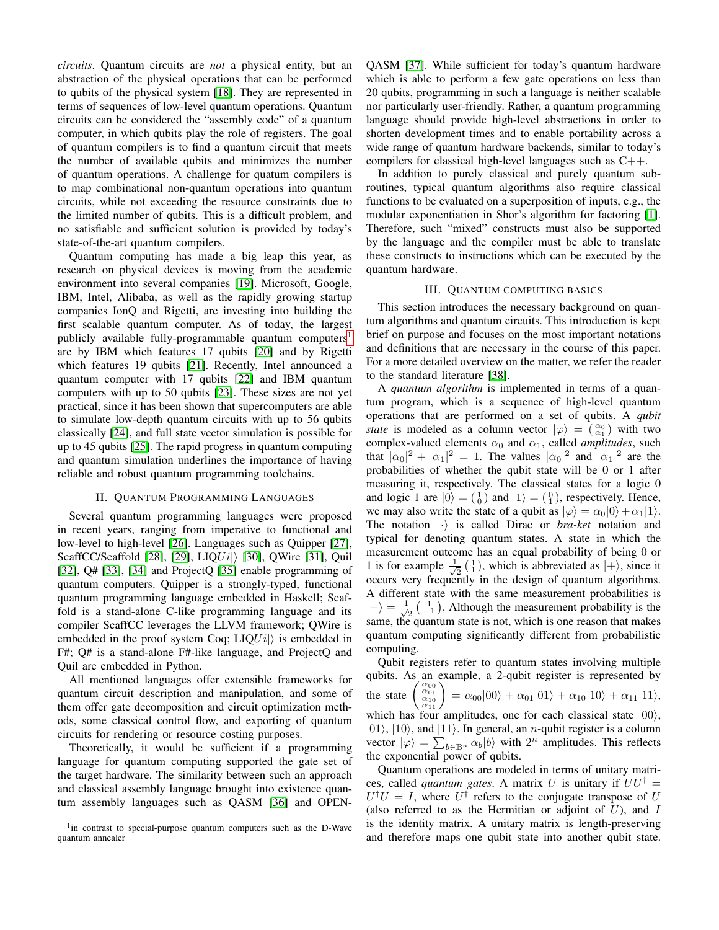*circuits*. Quantum circuits are *not* a physical entity, but an abstraction of the physical operations that can be performed to qubits of the physical system [\[18\]](#page-8-17). They are represented in terms of sequences of low-level quantum operations. Quantum circuits can be considered the "assembly code" of a quantum computer, in which qubits play the role of registers. The goal of quantum compilers is to find a quantum circuit that meets the number of available qubits and minimizes the number of quantum operations. A challenge for quatum compilers is to map combinational non-quantum operations into quantum circuits, while not exceeding the resource constraints due to the limited number of qubits. This is a difficult problem, and no satisfiable and sufficient solution is provided by today's state-of-the-art quantum compilers.

Quantum computing has made a big leap this year, as research on physical devices is moving from the academic environment into several companies [\[19\]](#page-8-18). Microsoft, Google, IBM, Intel, Alibaba, as well as the rapidly growing startup companies IonQ and Rigetti, are investing into building the first scalable quantum computer. As of today, the largest publicly available fully-programmable quantum computers<sup>[1](#page-1-0)</sup> are by IBM which features 17 qubits [\[20\]](#page-8-19) and by Rigetti which features 19 qubits [\[21\]](#page-8-20). Recently, Intel announced a quantum computer with 17 qubits [\[22\]](#page-8-21) and IBM quantum computers with up to 50 qubits [\[23\]](#page-8-22). These sizes are not yet practical, since it has been shown that supercomputers are able to simulate low-depth quantum circuits with up to 56 qubits classically [\[24\]](#page-8-23), and full state vector simulation is possible for up to 45 qubits [\[25\]](#page-9-0). The rapid progress in quantum computing and quantum simulation underlines the importance of having reliable and robust quantum programming toolchains.

#### II. QUANTUM PROGRAMMING LANGUAGES

Several quantum programming languages were proposed in recent years, ranging from imperative to functional and low-level to high-level [\[26\]](#page-9-1). Languages such as Quipper [\[27\]](#page-9-2), ScaffCC/Scaffold [\[28\]](#page-9-3), [\[29\]](#page-9-4), LIQU $i$ | $i$  [\[30\]](#page-9-5), QWire [\[31\]](#page-9-6), Quil [\[32\]](#page-9-7), Q# [\[33\]](#page-9-8), [\[34\]](#page-9-9) and ProjectQ [\[35\]](#page-9-10) enable programming of quantum computers. Quipper is a strongly-typed, functional quantum programming language embedded in Haskell; Scaffold is a stand-alone C-like programming language and its compiler ScaffCC leverages the LLVM framework; QWire is embedded in the proof system Coq;  $LIQUi|\rangle$  is embedded in F#; Q# is a stand-alone F#-like language, and ProjectQ and Quil are embedded in Python.

All mentioned languages offer extensible frameworks for quantum circuit description and manipulation, and some of them offer gate decomposition and circuit optimization methods, some classical control flow, and exporting of quantum circuits for rendering or resource costing purposes.

Theoretically, it would be sufficient if a programming language for quantum computing supported the gate set of the target hardware. The similarity between such an approach and classical assembly language brought into existence quantum assembly languages such as QASM [\[36\]](#page-9-11) and OPEN-

QASM [\[37\]](#page-9-12). While sufficient for today's quantum hardware which is able to perform a few gate operations on less than 20 qubits, programming in such a language is neither scalable nor particularly user-friendly. Rather, a quantum programming language should provide high-level abstractions in order to shorten development times and to enable portability across a wide range of quantum hardware backends, similar to today's compilers for classical high-level languages such as  $C_{++}$ .

In addition to purely classical and purely quantum subroutines, typical quantum algorithms also require classical functions to be evaluated on a superposition of inputs, e.g., the modular exponentiation in Shor's algorithm for factoring [\[1\]](#page-8-0). Therefore, such "mixed" constructs must also be supported by the language and the compiler must be able to translate these constructs to instructions which can be executed by the quantum hardware.

## III. QUANTUM COMPUTING BASICS

This section introduces the necessary background on quantum algorithms and quantum circuits. This introduction is kept brief on purpose and focuses on the most important notations and definitions that are necessary in the course of this paper. For a more detailed overview on the matter, we refer the reader to the standard literature [\[38\]](#page-9-13).

A *quantum algorithm* is implemented in terms of a quantum program, which is a sequence of high-level quantum operations that are performed on a set of qubits. A *qubit state* is modeled as a column vector  $|\varphi\rangle = \hat{(\alpha_0)}$  with two complex-valued elements  $\alpha_0$  and  $\alpha_1$ , called *amplitudes*, such that  $|\alpha_0|^2 + |\alpha_1|^2 = 1$ . The values  $|\alpha_0|^2$  and  $|\alpha_1|^2$  are the probabilities of whether the qubit state will be 0 or 1 after measuring it, respectively. The classical states for a logic 0 and logic 1 are  $|0\rangle = \begin{pmatrix} 1 \\ 0 \end{pmatrix}$  and  $|1\rangle = \begin{pmatrix} 0 \\ 1 \end{pmatrix}$ , respectively. Hence, we may also write the state of a qubit as  $|\varphi\rangle = \alpha_0|0\rangle + \alpha_1|1\rangle$ . The notation  $|\cdot\rangle$  is called Dirac or *bra-ket* notation and typical for denoting quantum states. A state in which the measurement outcome has an equal probability of being 0 or 1 is for example  $\frac{1}{\sqrt{2}}$  $\frac{1}{2}$  ( $\frac{1}{1}$ ), which is abbreviated as  $|+\rangle$ , since it occurs very frequently in the design of quantum algorithms. A different state with the same measurement probabilities is  $|-\rangle = \frac{1}{\sqrt{2}}$  $\frac{1}{2}$  ( $\frac{1}{-1}$ ). Although the measurement probability is the same, the quantum state is not, which is one reason that makes quantum computing significantly different from probabilistic computing.

Qubit registers refer to quantum states involving multiple qubits. As an example, a 2-qubit register is represented by the state  $\begin{pmatrix} \alpha_{00} \\ \alpha_{01} \\ \alpha_{11} \\ \end{pmatrix} = \alpha_{00} |00\rangle + \alpha_{01} |01\rangle + \alpha_{10} |10\rangle + \alpha_{11} |11\rangle,$ which has four amplitudes, one for each classical state  $|00\rangle$ ,  $|01\rangle$ ,  $|10\rangle$ , and  $|11\rangle$ . In general, an *n*-qubit register is a column vector  $|\varphi\rangle = \sum_{b \in \mathbb{B}^n} \alpha_b |b\rangle$  with  $2^n$  amplitudes. This reflects the exponential power of qubits.

Quantum operations are modeled in terms of unitary matrices, called *quantum gates*. A matrix U is unitary if  $UU^{\dagger} =$  $U^{\dagger}U = I$ , where  $U^{\dagger}$  refers to the conjugate transpose of U (also referred to as the Hermitian or adjoint of  $U$ ), and  $I$ is the identity matrix. A unitary matrix is length-preserving and therefore maps one qubit state into another qubit state.

<span id="page-1-0"></span><sup>&</sup>lt;sup>1</sup>in contrast to special-purpose quantum computers such as the D-Wave quantum annealer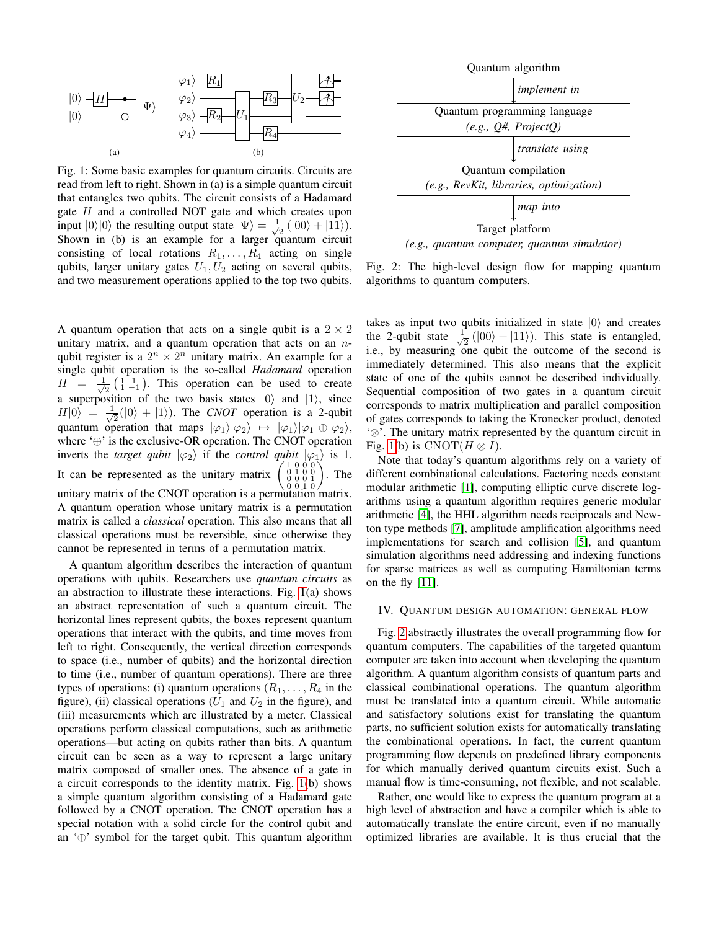<span id="page-2-0"></span>

Fig. 1: Some basic examples for quantum circuits. Circuits are read from left to right. Shown in (a) is a simple quantum circuit that entangles two qubits. The circuit consists of a Hadamard gate  $H$  and a controlled NOT gate and which creates upon input  $|0\rangle|0\rangle$  the resulting output state  $|\Psi\rangle = \frac{1}{\sqrt{2}}$  $\frac{1}{2}$  (|00\inet + |11\). Shown in (b) is an example for a larger quantum circuit consisting of local rotations  $R_1, \ldots, R_4$  acting on single qubits, larger unitary gates  $U_1, U_2$  acting on several qubits, and two measurement operations applied to the top two qubits.

A quantum operation that acts on a single qubit is a  $2 \times 2$ unitary matrix, and a quantum operation that acts on an  $n$ qubit register is a  $2^n \times 2^n$  unitary matrix. An example for a single qubit operation is the so-called *Hadamard* operation  $H = \frac{1}{4}$  $\frac{1}{2}$   $\begin{pmatrix} 1 & 1 \\ 1 & -1 \end{pmatrix}$ . This operation can be used to create a superposition of the two basis states  $|0\rangle$  and  $|1\rangle$ , since  $H|0\rangle = \frac{1}{\sqrt{2}}$  $\overline{Z}(0) + |1\rangle$ ). The *CNOT* operation is a 2-qubit quantum operation that maps  $|\varphi_1\rangle|\varphi_2\rangle \mapsto |\varphi_1\rangle|\varphi_1 \oplus \varphi_2\rangle$ , where '⊕' is the exclusive-OR operation. The CNOT operation inverts the *target qubit*  $|\varphi_2\rangle$  if the *control qubit*  $|\varphi_1\rangle$  is 1. It can be represented as the unitary matrix  $\left(\begin{smallmatrix} 1 & 0 & 0 & 0 \ 0 & 1 & 0 & 0 \ 0 & 0 & 0 & 1 \ 0 & 0 & 1 & 0 \end{smallmatrix}\right)$ . The unitary matrix of the CNOT operation is a permutation matrix. A quantum operation whose unitary matrix is a permutation matrix is called a *classical* operation. This also means that all classical operations must be reversible, since otherwise they cannot be represented in terms of a permutation matrix.

A quantum algorithm describes the interaction of quantum operations with qubits. Researchers use *quantum circuits* as an abstraction to illustrate these interactions. Fig. [1\(](#page-2-0)a) shows an abstract representation of such a quantum circuit. The horizontal lines represent qubits, the boxes represent quantum operations that interact with the qubits, and time moves from left to right. Consequently, the vertical direction corresponds to space (i.e., number of qubits) and the horizontal direction to time (i.e., number of quantum operations). There are three types of operations: (i) quantum operations  $(R_1, \ldots, R_4$  in the figure), (ii) classical operations  $(U_1$  and  $U_2$  in the figure), and (iii) measurements which are illustrated by a meter. Classical operations perform classical computations, such as arithmetic operations—but acting on qubits rather than bits. A quantum circuit can be seen as a way to represent a large unitary matrix composed of smaller ones. The absence of a gate in a circuit corresponds to the identity matrix. Fig. [1\(](#page-2-0)b) shows a simple quantum algorithm consisting of a Hadamard gate followed by a CNOT operation. The CNOT operation has a special notation with a solid circle for the control qubit and an '⊕' symbol for the target qubit. This quantum algorithm

<span id="page-2-1"></span>

Fig. 2: The high-level design flow for mapping quantum algorithms to quantum computers.

takes as input two qubits initialized in state  $|0\rangle$  and creates the 2-qubit state  $\frac{1}{\sqrt{2}}$  $\frac{1}{2}$  ( $|00\rangle + |11\rangle$ ). This state is entangled, i.e., by measuring one qubit the outcome of the second is immediately determined. This also means that the explicit state of one of the qubits cannot be described individually. Sequential composition of two gates in a quantum circuit corresponds to matrix multiplication and parallel composition of gates corresponds to taking the Kronecker product, denoted '⊗'. The unitary matrix represented by the quantum circuit in Fig. [1\(](#page-2-0)b) is  $CNOT(H \otimes I)$ .

Note that today's quantum algorithms rely on a variety of different combinational calculations. Factoring needs constant modular arithmetic [\[1\]](#page-8-0), computing elliptic curve discrete logarithms using a quantum algorithm requires generic modular arithmetic [\[4\]](#page-8-3), the HHL algorithm needs reciprocals and Newton type methods [\[7\]](#page-8-6), amplitude amplification algorithms need implementations for search and collision [\[5\]](#page-8-4), and quantum simulation algorithms need addressing and indexing functions for sparse matrices as well as computing Hamiltonian terms on the fly [\[11\]](#page-8-10).

#### IV. QUANTUM DESIGN AUTOMATION: GENERAL FLOW

Fig. [2](#page-2-1) abstractly illustrates the overall programming flow for quantum computers. The capabilities of the targeted quantum computer are taken into account when developing the quantum algorithm. A quantum algorithm consists of quantum parts and classical combinational operations. The quantum algorithm must be translated into a quantum circuit. While automatic and satisfactory solutions exist for translating the quantum parts, no sufficient solution exists for automatically translating the combinational operations. In fact, the current quantum programming flow depends on predefined library components for which manually derived quantum circuits exist. Such a manual flow is time-consuming, not flexible, and not scalable.

Rather, one would like to express the quantum program at a high level of abstraction and have a compiler which is able to automatically translate the entire circuit, even if no manually optimized libraries are available. It is thus crucial that the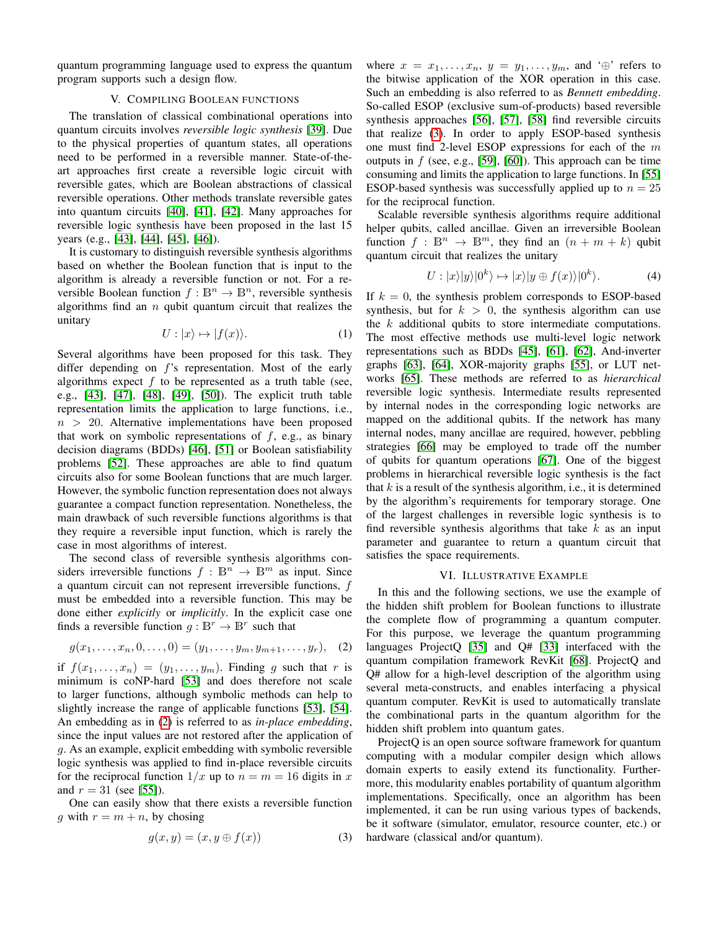quantum programming language used to express the quantum program supports such a design flow.

## V. COMPILING BOOLEAN FUNCTIONS

The translation of classical combinational operations into quantum circuits involves *reversible logic synthesis* [\[39\]](#page-9-14). Due to the physical properties of quantum states, all operations need to be performed in a reversible manner. State-of-theart approaches first create a reversible logic circuit with reversible gates, which are Boolean abstractions of classical reversible operations. Other methods translate reversible gates into quantum circuits [\[40\]](#page-9-15), [\[41\]](#page-9-16), [\[42\]](#page-9-17). Many approaches for reversible logic synthesis have been proposed in the last 15 years (e.g., [\[43\]](#page-9-18), [\[44\]](#page-9-19), [\[45\]](#page-9-20), [\[46\]](#page-9-21)).

It is customary to distinguish reversible synthesis algorithms based on whether the Boolean function that is input to the algorithm is already a reversible function or not. For a reversible Boolean function  $f : \mathbb{B}^n \to \mathbb{B}^n$ , reversible synthesis algorithms find an  $n$  qubit quantum circuit that realizes the unitary

$$
U: |x\rangle \mapsto |f(x)\rangle. \tag{1}
$$

Several algorithms have been proposed for this task. They differ depending on  $f$ 's representation. Most of the early algorithms expect  $f$  to be represented as a truth table (see, e.g., [\[43\]](#page-9-18), [\[47\]](#page-9-22), [\[48\]](#page-9-23), [\[49\]](#page-9-24), [\[50\]](#page-9-25)). The explicit truth table representation limits the application to large functions, i.e.,  $n > 20$ . Alternative implementations have been proposed that work on symbolic representations of  $f$ , e.g., as binary decision diagrams (BDDs) [\[46\]](#page-9-21), [\[51\]](#page-9-26) or Boolean satisfiability problems [\[52\]](#page-9-27). These approaches are able to find quatum circuits also for some Boolean functions that are much larger. However, the symbolic function representation does not always guarantee a compact function representation. Nonetheless, the main drawback of such reversible functions algorithms is that they require a reversible input function, which is rarely the case in most algorithms of interest.

The second class of reversible synthesis algorithms considers irreversible functions  $f : \mathbb{B}^n \to \mathbb{B}^m$  as input. Since a quantum circuit can not represent irreversible functions, f must be embedded into a reversible function. This may be done either *explicitly* or *implicitly*. In the explicit case one finds a reversible function  $g: \mathbb{B}^r \to \mathbb{B}^r$  such that

<span id="page-3-0"></span>
$$
g(x_1, \ldots, x_n, 0, \ldots, 0) = (y_1, \ldots, y_m, y_{m+1}, \ldots, y_r), \quad (2)
$$

if  $f(x_1, \ldots, x_n) = (y_1, \ldots, y_m)$ . Finding g such that r is minimum is coNP-hard [\[53\]](#page-9-28) and does therefore not scale to larger functions, although symbolic methods can help to slightly increase the range of applicable functions [\[53\]](#page-9-28), [\[54\]](#page-9-29). An embedding as in [\(2\)](#page-3-0) is referred to as *in-place embedding*, since the input values are not restored after the application of g. As an example, explicit embedding with symbolic reversible logic synthesis was applied to find in-place reversible circuits for the reciprocal function  $1/x$  up to  $n = m = 16$  digits in x and  $r = 31$  (see [\[55\]](#page-9-30)).

One can easily show that there exists a reversible function q with  $r = m + n$ , by chosing

<span id="page-3-1"></span>
$$
g(x, y) = (x, y \oplus f(x))
$$
\n(3)

where  $x = x_1, \ldots, x_n, y = y_1, \ldots, y_m$ , and '⊕' refers to the bitwise application of the XOR operation in this case. Such an embedding is also referred to as *Bennett embedding*. So-called ESOP (exclusive sum-of-products) based reversible synthesis approaches [\[56\]](#page-9-31), [\[57\]](#page-9-32), [\[58\]](#page-9-33) find reversible circuits that realize [\(3\)](#page-3-1). In order to apply ESOP-based synthesis one must find 2-level ESOP expressions for each of the m outputs in  $f$  (see, e.g., [\[59\]](#page-9-34), [\[60\]](#page-9-35)). This approach can be time consuming and limits the application to large functions. In [\[55\]](#page-9-30) ESOP-based synthesis was successfully applied up to  $n = 25$ for the reciprocal function.

Scalable reversible synthesis algorithms require additional helper qubits, called ancillae. Given an irreversible Boolean function  $f : \mathbb{B}^n \to \mathbb{B}^m$ , they find an  $(n + m + k)$  qubit quantum circuit that realizes the unitary

$$
U: |x\rangle|y\rangle|0^k\rangle \mapsto |x\rangle|y \oplus f(x)\rangle|0^k\rangle. \tag{4}
$$

If  $k = 0$ , the synthesis problem corresponds to ESOP-based synthesis, but for  $k > 0$ , the synthesis algorithm can use the  $k$  additional qubits to store intermediate computations. The most effective methods use multi-level logic network representations such as BDDs [\[45\]](#page-9-20), [\[61\]](#page-9-36), [\[62\]](#page-9-37), And-inverter graphs [\[63\]](#page-9-38), [\[64\]](#page-9-39), XOR-majority graphs [\[55\]](#page-9-30), or LUT networks [\[65\]](#page-9-40). These methods are referred to as *hierarchical* reversible logic synthesis. Intermediate results represented by internal nodes in the corresponding logic networks are mapped on the additional qubits. If the network has many internal nodes, many ancillae are required, however, pebbling strategies [\[66\]](#page-9-41) may be employed to trade off the number of qubits for quantum operations [\[67\]](#page-9-42). One of the biggest problems in hierarchical reversible logic synthesis is the fact that  $k$  is a result of the synthesis algorithm, i.e., it is determined by the algorithm's requirements for temporary storage. One of the largest challenges in reversible logic synthesis is to find reversible synthesis algorithms that take  $k$  as an input parameter and guarantee to return a quantum circuit that satisfies the space requirements.

## VI. ILLUSTRATIVE EXAMPLE

In this and the following sections, we use the example of the hidden shift problem for Boolean functions to illustrate the complete flow of programming a quantum computer. For this purpose, we leverage the quantum programming languages ProjectQ [\[35\]](#page-9-10) and Q# [\[33\]](#page-9-8) interfaced with the quantum compilation framework RevKit [\[68\]](#page-9-43). ProjectQ and Q# allow for a high-level description of the algorithm using several meta-constructs, and enables interfacing a physical quantum computer. RevKit is used to automatically translate the combinational parts in the quantum algorithm for the hidden shift problem into quantum gates.

ProjectQ is an open source software framework for quantum computing with a modular compiler design which allows domain experts to easily extend its functionality. Furthermore, this modularity enables portability of quantum algorithm implementations. Specifically, once an algorithm has been implemented, it can be run using various types of backends, be it software (simulator, emulator, resource counter, etc.) or hardware (classical and/or quantum).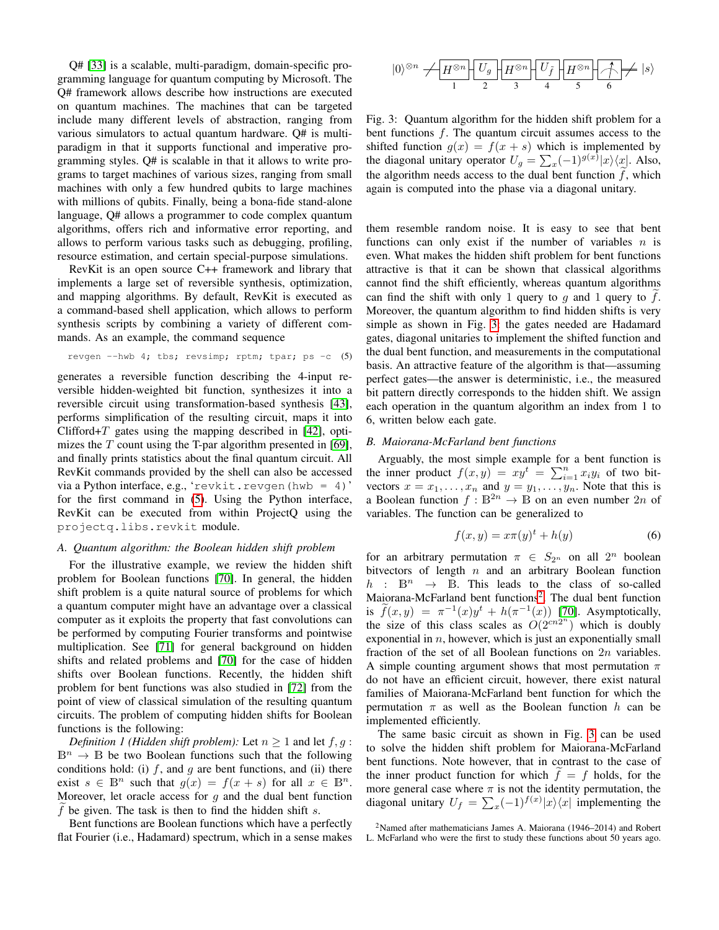Q# [\[33\]](#page-9-8) is a scalable, multi-paradigm, domain-specific programming language for quantum computing by Microsoft. The Q# framework allows describe how instructions are executed on quantum machines. The machines that can be targeted include many different levels of abstraction, ranging from various simulators to actual quantum hardware. Q# is multiparadigm in that it supports functional and imperative programming styles. Q# is scalable in that it allows to write programs to target machines of various sizes, ranging from small machines with only a few hundred qubits to large machines with millions of qubits. Finally, being a bona-fide stand-alone language, Q# allows a programmer to code complex quantum algorithms, offers rich and informative error reporting, and allows to perform various tasks such as debugging, profiling, resource estimation, and certain special-purpose simulations.

RevKit is an open source C++ framework and library that implements a large set of reversible synthesis, optimization, and mapping algorithms. By default, RevKit is executed as a command-based shell application, which allows to perform synthesis scripts by combining a variety of different commands. As an example, the command sequence

<span id="page-4-0"></span>revgen --hwb 4; tbs; revsimp; rptm; tpar; ps 
$$
-c
$$
 (5)

generates a reversible function describing the 4-input reversible hidden-weighted bit function, synthesizes it into a reversible circuit using transformation-based synthesis [\[43\]](#page-9-18), performs simplification of the resulting circuit, maps it into Clifford $+T$  gates using the mapping described in [\[42\]](#page-9-17), optimizes the  $T$  count using the T-par algorithm presented in [\[69\]](#page-9-44), and finally prints statistics about the final quantum circuit. All RevKit commands provided by the shell can also be accessed via a Python interface, e.g., 'revkit.revgen(hwb =  $4$ )' for the first command in [\(5\)](#page-4-0). Using the Python interface, RevKit can be executed from within ProjectQ using the projectq.libs.revkit module.

## *A. Quantum algorithm: the Boolean hidden shift problem*

For the illustrative example, we review the hidden shift problem for Boolean functions [\[70\]](#page-9-45). In general, the hidden shift problem is a quite natural source of problems for which a quantum computer might have an advantage over a classical computer as it exploits the property that fast convolutions can be performed by computing Fourier transforms and pointwise multiplication. See [\[71\]](#page-9-46) for general background on hidden shifts and related problems and [\[70\]](#page-9-45) for the case of hidden shifts over Boolean functions. Recently, the hidden shift problem for bent functions was also studied in [\[72\]](#page-9-47) from the point of view of classical simulation of the resulting quantum circuits. The problem of computing hidden shifts for Boolean functions is the following:

*Definition 1 (Hidden shift problem):* Let  $n \geq 1$  and let  $f, g$ :  $\mathbb{B}^n \to \mathbb{B}$  be two Boolean functions such that the following conditions hold: (i)  $f$ , and  $g$  are bent functions, and (ii) there exist  $s \in \mathbb{B}^n$  such that  $g(x) = f(x+s)$  for all  $x \in \mathbb{B}^n$ . Moreover, let oracle access for  $g$  and the dual bent function f be given. The task is then to find the hidden shift  $s$ .

Bent functions are Boolean functions which have a perfectly flat Fourier (i.e., Hadamard) spectrum, which in a sense makes

<span id="page-4-1"></span>
$$
|0\rangle^{\otimes n} \leftarrow H^{\otimes n} \left| \underbrace{U_g}_{1} \left| \underbrace{H^{\otimes n}}_{3} \left| \underbrace{U_{\tilde{f}}}_{4} \left| \underbrace{H^{\otimes n}}_{5} \left| \underbrace{A}_{6} \right| \right| \right|
$$

Fig. 3: Quantum algorithm for the hidden shift problem for a bent functions f. The quantum circuit assumes access to the shifted function  $g(x) = f(x + s)$  which is implemented by the diagonal unitary operator  $U_g = \sum_x (-1)^{g(x)} |x\rangle\langle x|$ . Also, the algorithm needs access to the dual bent function  $\hat{f}$ , which again is computed into the phase via a diagonal unitary.

them resemble random noise. It is easy to see that bent functions can only exist if the number of variables  $n$  is even. What makes the hidden shift problem for bent functions attractive is that it can be shown that classical algorithms cannot find the shift efficiently, whereas quantum algorithms can find the shift with only 1 query to q and 1 query to f. Moreover, the quantum algorithm to find hidden shifts is very simple as shown in Fig. [3:](#page-4-1) the gates needed are Hadamard gates, diagonal unitaries to implement the shifted function and the dual bent function, and measurements in the computational basis. An attractive feature of the algorithm is that—assuming perfect gates—the answer is deterministic, i.e., the measured bit pattern directly corresponds to the hidden shift. We assign each operation in the quantum algorithm an index from 1 to 6, written below each gate.

### *B. Maiorana-McFarland bent functions*

Arguably, the most simple example for a bent function is the inner product  $f(x, y) = xy^t = \sum_{i=1}^n x_i y_i$  of two bitvectors  $x = x_1, \dots, x_n$  and  $y = y_1, \dots, y_n$ . Note that this is a Boolean function  $f : \mathbb{B}^{2n} \to \mathbb{B}$  on an even number  $2n$  of variables. The function can be generalized to

$$
f(x,y) = x\pi(y)^t + h(y) \tag{6}
$$

for an arbitrary permutation  $\pi \in S_{2^n}$  on all  $2^n$  boolean bitvectors of length  $n$  and an arbitrary Boolean function  $h : \mathbb{B}^n \to \mathbb{B}$ . This leads to the class of so-called Maiorana-McFarland bent functions<sup>[2](#page-4-2)</sup>. The dual bent function is  $\tilde{f}(x,y) = \pi^{-1}(x)y^t + h(\pi^{-1}(x))$  [\[70\]](#page-9-45). Asymptotically, the size of this class scales as  $O(2^{cn2^n})$  which is doubly exponential in  $n$ , however, which is just an exponentially small fraction of the set of all Boolean functions on  $2n$  variables. A simple counting argument shows that most permutation  $\pi$ do not have an efficient circuit, however, there exist natural families of Maiorana-McFarland bent function for which the permutation  $\pi$  as well as the Boolean function h can be implemented efficiently.

The same basic circuit as shown in Fig. [3](#page-4-1) can be used to solve the hidden shift problem for Maiorana-McFarland bent functions. Note however, that in contrast to the case of the inner product function for which  $f = f$  holds, for the more general case where  $\pi$  is not the identity permutation, the diagonal unitary  $U_f = \sum_x (-1)^{f(x)} |x\rangle\langle x|$  implementing the

<span id="page-4-2"></span> $2$ Named after mathematicians James A. Maiorana (1946–2014) and Robert L. McFarland who were the first to study these functions about 50 years ago.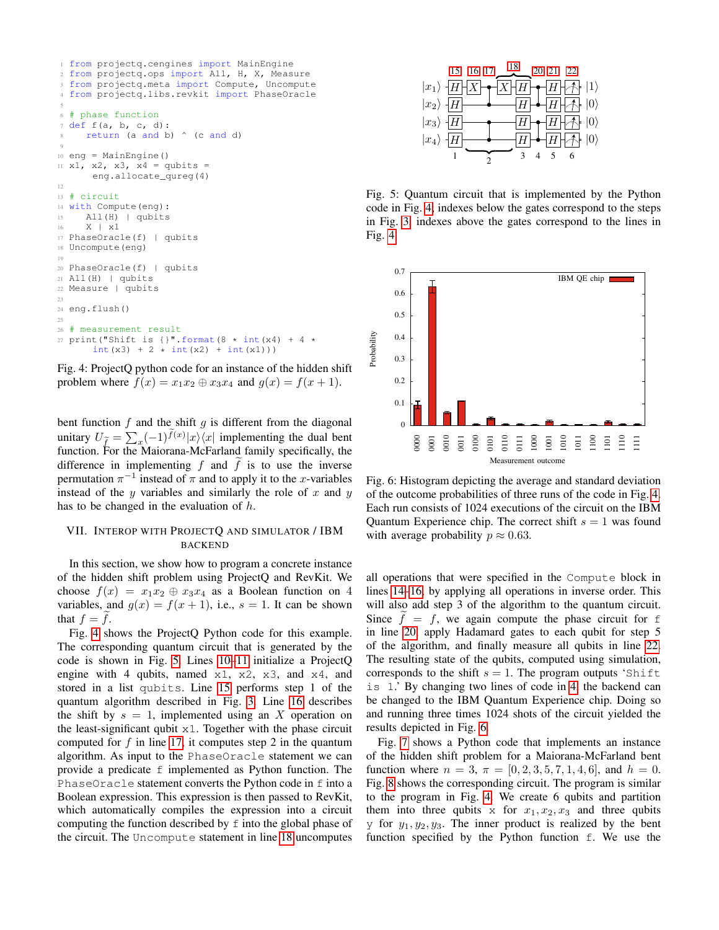```
1 from projectq.cengines import MainEngine
2 from projectq.ops import All, H, X, Measure
3 from projectq.meta import Compute, Uncompute
4 from projectq.libs.revkit import PhaseOracle
5
  # phase function
7 def f(a, b, c, d):
     return (a and b) \wedge (c and d)
9
10 eng = MainEngine()
11 x1, x2, x3, x4 = qubits =eng.allocate_qureg(4)
12
13 # circuit
14 with Compute(eng):
15 All(H) | qubits
16 X | x1
17 PhaseOracle(f) | qubits
18 Uncompute(eng)
19
20 PhaseOracle(f) | qubits
21 All(H) | qubits
22 Measure | qubits
23
24 eng.flush()
25
26 # measurement result
27 print ("Shift is \{\}".format (8 * int (x4) + 4 *int(x3) + 2 * int(x2) + int(x1))
```
<span id="page-5-10"></span><span id="page-5-9"></span><span id="page-5-8"></span><span id="page-5-7"></span><span id="page-5-6"></span><span id="page-5-5"></span>Fig. 4: ProjectQ python code for an instance of the hidden shift problem where  $f(x) = x_1x_2 \oplus x_3x_4$  and  $g(x) = f(x+1)$ .

bent function  $f$  and the shift  $g$  is different from the diagonal unitary  $U_{\tilde{f}} = \sum_x (-1)^{f(x)} |x\rangle\langle x|$  implementing the dual bent<br>function For the Meiorene McForland family enoughfields the function. For the Maiorana-McFarland family specifically, the difference in implementing  $f$  and  $f$  is to use the inverse permutation  $\pi^{-1}$  instead of  $\pi$  and to apply it to the x-variables instead of the y variables and similarly the role of x and y has to be changed in the evaluation of  $h$ .

# VII. INTEROP WITH PROJECTQ AND SIMULATOR / IBM BACKEND

In this section, we show how to program a concrete instance of the hidden shift problem using ProjectQ and RevKit. We choose  $f(x) = x_1x_2 \oplus x_3x_4$  as a Boolean function on 4 variables, and  $g(x) = f(x+1)$ , i.e.,  $s = 1$ . It can be shown that  $f = f$ .

Fig. [4](#page-5-0) shows the ProjectQ Python code for this example. The corresponding quantum circuit that is generated by the code is shown in Fig. [5.](#page-5-1) Lines [10](#page-5-2)[–11](#page-5-3) initialize a ProjectQ engine with 4 qubits, named  $x1$ ,  $x2$ ,  $x3$ , and  $x4$ , and stored in a list qubits. Line [15](#page-5-4) performs step 1 of the quantum algorithm described in Fig. [3.](#page-4-1) Line [16](#page-5-5) describes the shift by  $s = 1$ , implemented using an X operation on the least-significant qubit  $x1$ . Together with the phase circuit computed for  $f$  in line [17,](#page-5-6) it computes step 2 in the quantum algorithm. As input to the PhaseOracle statement we can provide a predicate f implemented as Python function. The PhaseOracle statement converts the Python code in f into a Boolean expression. This expression is then passed to RevKit, which automatically compiles the expression into a circuit computing the function described by f into the global phase of the circuit. The Uncompute statement in line [18](#page-5-7) uncomputes

<span id="page-5-1"></span>

Fig. 5: Quantum circuit that is implemented by the Python code in Fig. [4;](#page-5-0) indexes below the gates correspond to the steps in Fig. [3,](#page-4-1) indexes above the gates correspond to the lines in Fig. [4.](#page-5-0)

<span id="page-5-12"></span>

Fig. 6: Histogram depicting the average and standard deviation of the outcome probabilities of three runs of the code in Fig. [4.](#page-5-0) Each run consists of 1024 executions of the circuit on the IBM Quantum Experience chip. The correct shift  $s = 1$  was found with average probability  $p \approx 0.63$ .

all operations that were specified in the Compute block in lines [14](#page-5-11)[–16,](#page-5-5) by applying all operations in inverse order. This will also add step 3 of the algorithm to the quantum circuit. Since  $f = f$ , we again compute the phase circuit for f in line [20,](#page-5-8) apply Hadamard gates to each qubit for step 5 of the algorithm, and finally measure all qubits in line [22.](#page-5-10) The resulting state of the qubits, computed using simulation, corresponds to the shift  $s = 1$ . The program outputs 'Shift is 1.' By changing two lines of code in [4,](#page-5-0) the backend can be changed to the IBM Quantum Experience chip. Doing so and running three times 1024 shots of the circuit yielded the results depicted in Fig. [6.](#page-5-12)

Fig. [7](#page-6-0) shows a Python code that implements an instance of the hidden shift problem for a Maiorana-McFarland bent function where  $n = 3$ ,  $\pi = [0, 2, 3, 5, 7, 1, 4, 6]$ , and  $h = 0$ . Fig. [8](#page-7-0) shows the corresponding circuit. The program is similar to the program in Fig. [4.](#page-5-0) We create 6 qubits and partition them into three qubits x for  $x_1, x_2, x_3$  and three qubits y for  $y_1, y_2, y_3$ . The inner product is realized by the bent function specified by the Python function f. We use the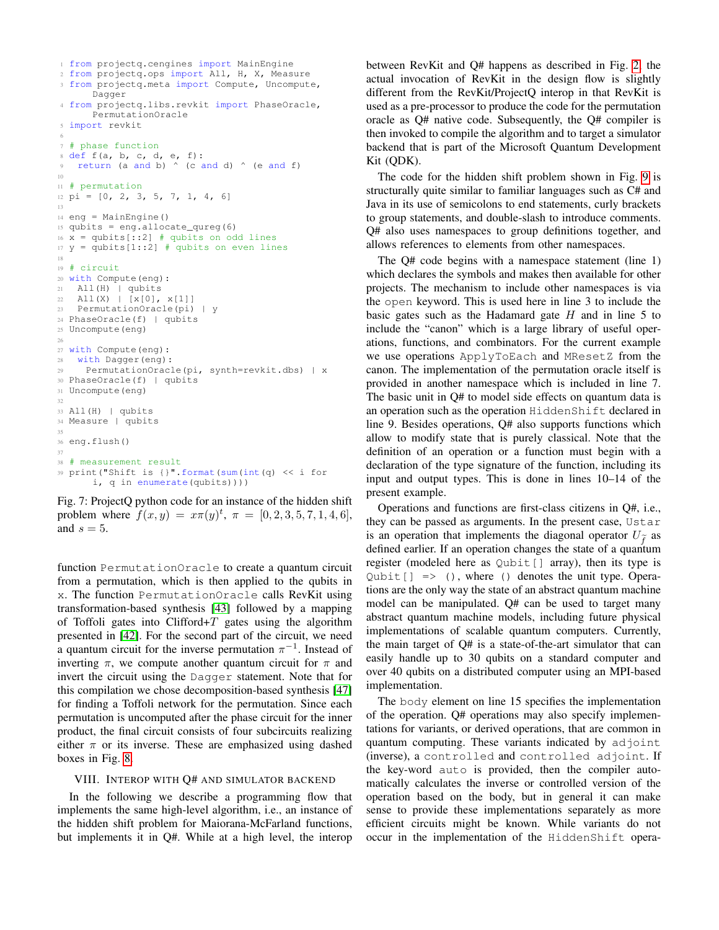```
1 from projectq.cengines import MainEngine
2 from projectq.ops import All, H, X, Measure
3 from projectq.meta import Compute, Uncompute,
      Dagger
4 from projectq.libs.revkit import PhaseOracle,
     PermutationOracle
5 import revkit
6
7 # phase function
8 \text{ def } f(a, b, c, d, e, f):
9 return (a and b) \wedge (c and d) \wedge (e and f)
10
11 # permutation
12 \text{ pi} = [0, 2, 3, 5, 7, 1, 4, 6]13
14 eng = MainEngine()
15 qubits = eng.allocate_qureg(6)
16 x = qubits[::2] # qubits on odd lines
17 y = qubits[1::2] # qubits on even lines
18
19 # circuit
20 with Compute(eng):
21 All(H) | qubits
22 All(X) | [x[0], x[1]]
23 PermutationOracle(pi) | y
24 PhaseOracle(f) | qubits
25 Uncompute(eng)
26
27 with Compute(eng):
28 with Dagger(eng):
29 PermutationOracle(pi, synth=revkit.dbs) | x
30 PhaseOracle(f) | qubits
31 Uncompute(eng)
32
33 All(H) | qubits
34 Measure | qubits
35
36 eng.flush()
37
38 # measurement result
39 print("Shift is {}".format(sum(int(q) << i for
      i, q in enumerate(qubits))))
```
Fig. 7: ProjectQ python code for an instance of the hidden shift problem where  $f(x,y) = x\pi(y)^t$ ,  $\pi = [0, 2, 3, 5, 7, 1, 4, 6]$ , and  $s = 5$ .

function PermutationOracle to create a quantum circuit from a permutation, which is then applied to the qubits in x. The function PermutationOracle calls RevKit using transformation-based synthesis [\[43\]](#page-9-18) followed by a mapping of Toffoli gates into Clifford+T gates using the algorithm presented in [\[42\]](#page-9-17). For the second part of the circuit, we need a quantum circuit for the inverse permutation  $\pi^{-1}$ . Instead of inverting  $\pi$ , we compute another quantum circuit for  $\pi$  and invert the circuit using the Dagger statement. Note that for this compilation we chose decomposition-based synthesis [\[47\]](#page-9-22) for finding a Toffoli network for the permutation. Since each permutation is uncomputed after the phase circuit for the inner product, the final circuit consists of four subcircuits realizing either  $\pi$  or its inverse. These are emphasized using dashed boxes in Fig. [8.](#page-7-0)

## VIII. INTEROP WITH Q# AND SIMULATOR BACKEND

In the following we describe a programming flow that implements the same high-level algorithm, i.e., an instance of the hidden shift problem for Maiorana-McFarland functions, but implements it in Q#. While at a high level, the interop

between RevKit and Q# happens as described in Fig. [2,](#page-2-1) the actual invocation of RevKit in the design flow is slightly different from the RevKit/ProjectQ interop in that RevKit is used as a pre-processor to produce the code for the permutation oracle as Q# native code. Subsequently, the Q# compiler is then invoked to compile the algorithm and to target a simulator backend that is part of the Microsoft Quantum Development Kit (QDK).

The code for the hidden shift problem shown in Fig. [9](#page-7-1) is structurally quite similar to familiar languages such as C# and Java in its use of semicolons to end statements, curly brackets to group statements, and double-slash to introduce comments. Q# also uses namespaces to group definitions together, and allows references to elements from other namespaces.

The Q# code begins with a namespace statement (line 1) which declares the symbols and makes then available for other projects. The mechanism to include other namespaces is via the open keyword. This is used here in line 3 to include the basic gates such as the Hadamard gate  $H$  and in line 5 to include the "canon" which is a large library of useful operations, functions, and combinators. For the current example we use operations ApplyToEach and MResetZ from the canon. The implementation of the permutation oracle itself is provided in another namespace which is included in line 7. The basic unit in Q# to model side effects on quantum data is an operation such as the operation HiddenShift declared in line 9. Besides operations, Q# also supports functions which allow to modify state that is purely classical. Note that the definition of an operation or a function must begin with a declaration of the type signature of the function, including its input and output types. This is done in lines 10–14 of the present example.

Operations and functions are first-class citizens in Q#, i.e., they can be passed as arguments. In the present case, Ustar is an operation that implements the diagonal operator  $U_{\tilde{r}}$  as defined earlier. If an operation changes the state of a quantum register (modeled here as Qubit[] array), then its type is Qubit  $\lceil \rceil$  => (), where () denotes the unit type. Operations are the only way the state of an abstract quantum machine model can be manipulated. Q# can be used to target many abstract quantum machine models, including future physical implementations of scalable quantum computers. Currently, the main target of Q# is a state-of-the-art simulator that can easily handle up to 30 qubits on a standard computer and over 40 qubits on a distributed computer using an MPI-based implementation.

The body element on line 15 specifies the implementation of the operation. Q# operations may also specify implementations for variants, or derived operations, that are common in quantum computing. These variants indicated by adjoint (inverse), a controlled and controlled adjoint. If the key-word auto is provided, then the compiler automatically calculates the inverse or controlled version of the operation based on the body, but in general it can make sense to provide these implementations separately as more efficient circuits might be known. While variants do not occur in the implementation of the HiddenShift opera-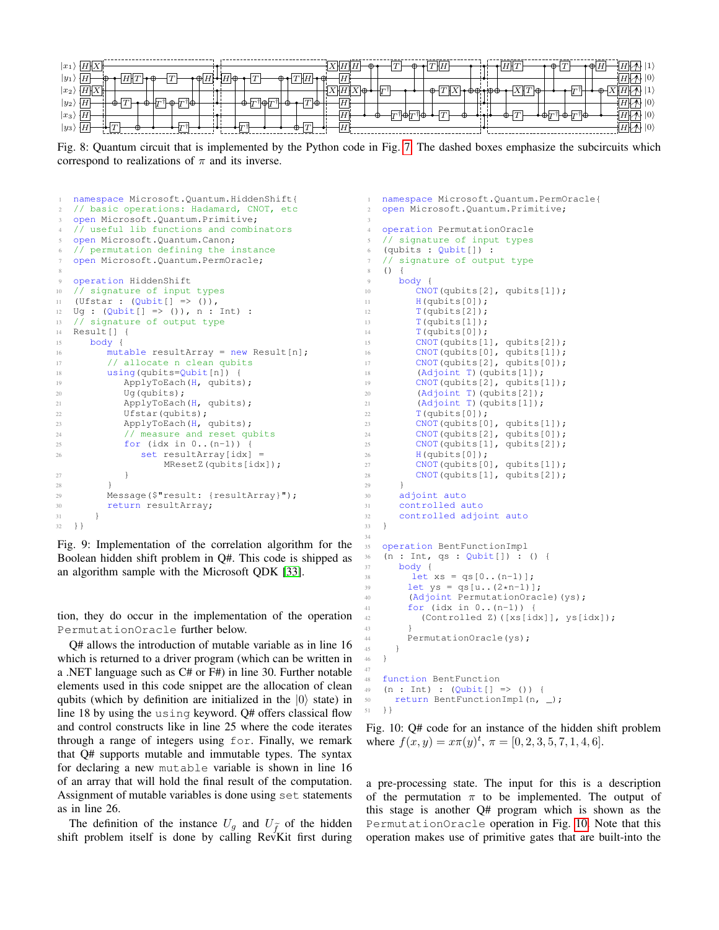<span id="page-7-0"></span>

| H X<br>$x \times$<br>$ x_1\rangle$                                                       |                                                   | $X$ HH<br>$T  H$ -<br>Η                                                                                  | $H$ $\mathcal{A}$ $1$<br>HH<br>1 L L                                            |
|------------------------------------------------------------------------------------------|---------------------------------------------------|----------------------------------------------------------------------------------------------------------|---------------------------------------------------------------------------------|
| $\sim$<br> H <br>$\neg$ ப $\neg$ ப $\neg$<br>$ y_1\rangle$<br>111                        | $\tau$<br>  பட்பட்ட<br>$\sim$<br>$\sim$<br>لات کا | H                                                                                                        | $ H \!\!\!\!\!\!\wedge\uparrow\!\!\!\!\!\wedge 0\rangle$                        |
| H X<br>$x \times$<br>$ x_2\rangle$                                                       |                                                   | $\pi$ lx<br>100<br>$H$ $X$ $\oplus$ $\rightarrow$<br>$\mathbf{x}$<br>⊢+⊕⊕⊷ю⊕<br>∽<br>ΠΔ<br><b>.</b><br>ட | $\nabla$ l $\pi$ la<br>$X$ $H$ $\sim$ 1                                         |
| $\sim$<br><del>᠊</del> ᠊ᡈ᠊ᡰᡎ᠋᠍᠊ᡰᢁ᠊ <i>ᡎ</i> ᠋ᡰ <del>ᢁ</del><br> H <br>$ y_2\rangle$<br>_ | $T\uplus$<br>$\bigoplus_{T} \bigoplus_{T}$        | H                                                                                                        | HHA 0                                                                           |
| $\boxed{H}$<br>$ x_3\rangle$                                                             |                                                   | π†⊕π†⊕<br>TT<br>$\sim$                                                                                   | $\sim$<br>$H$ $ \! \! \! \mathcal{A} \! $ $ 0\rangle$<br>†⊕ተ™⊕<br>$-\oplus T^*$ |
| $\sqrt{2}$<br> H <br>$ y_3\rangle$<br>$- - - -$                                          | Ⴐ                                                 | H                                                                                                        | $\Vert H \Vert \bm{\wedge} \, \vert 0 \rangle$                                  |

Fig. 8: Quantum circuit that is implemented by the Python code in Fig. [7.](#page-6-0) The dashed boxes emphasize the subcircuits which correspond to realizations of  $\pi$  and its inverse.

3

 $29$ 

47

```
1 namespace Microsoft.Quantum.HiddenShift{
  // basic operations: Hadamard, CNOT, etc
  open Microsoft.Quantum.Primitive;
  // useful lib functions and combinators
  open Microsoft.Quantum.Canon;
  // permutation defining the instance
  open Microsoft.Quantum.PermOracle;
8
9 operation HiddenShift
10 // signature of input types
11 (Ufstar : (Qubit[] => ()),
12 Ug : (Qubit[] => ()), n : Int) :
13 // signature of output type
14 Result[] {
15 body {
16 mutable resultArray = new Result[n];
17 // allocate n clean qubits
18 using(qubits=Qubit[n]) {
19 ApplyToEach(H, qubits);
20 Ug(qubits);
21 ApplyToEach(H, qubits);
22 Ufstar(qubits);
23 ApplyToEach(H, qubits);
24 // measure and reset qubits
25 for (idx \in 0..(n-1)) {
26 set resultArray[idx] =
                MResetZ(qubits[idx]);
27 }
28 }
29 Message($"result: {resultArray}");
30 return resultArray;
31 }
32 }}
```
Fig. 9: Implementation of the correlation algorithm for the Boolean hidden shift problem in Q#. This code is shipped as an algorithm sample with the Microsoft QDK [\[33\]](#page-9-8).

tion, they do occur in the implementation of the operation PermutationOracle further below.

Q# allows the introduction of mutable variable as in line 16 which is returned to a driver program (which can be written in a .NET language such as C# or F#) in line 30. Further notable elements used in this code snippet are the allocation of clean qubits (which by definition are initialized in the  $|0\rangle$  state) in line 18 by using the using keyword. Q# offers classical flow and control constructs like in line 25 where the code iterates through a range of integers using for. Finally, we remark that Q# supports mutable and immutable types. The syntax for declaring a new mutable variable is shown in line 16 of an array that will hold the final result of the computation. Assignment of mutable variables is done using set statements as in line 26.

The definition of the instance  $U_g$  and  $U_{\tilde{f}}$  of the hidden shift problem itself is done by calling RevKit first during

```
1 namespace Microsoft.Quantum.PermOracle{
2 open Microsoft.Quantum.Primitive;
4 operation PermutationOracle
5 // signature of input types
6 (qubits : Qubit[]) :
7 // signature of output type
8 () {
9 body {
10 CNOT(qubits[2], qubits[1]);
H(\text{qubits}[0]);
12 T(qubits[2]);
13 T(qubits[1]);
14 T(qubits[0]);
15 CNOT(qubits[1], qubits[2]);
16 CNOT(qubits[0], qubits[1]);
17 CNOT(qubits[2], qubits[0]);
18 (Adjoint T)(qubits[1]);
19 CNOT(qubits[2], qubits[1]);
20 (Adjoint T)(qubits[2]);
21 (Adjoint T)(qubits[1]);
22 T(qubits[0]);
23 CNOT(qubits[0], qubits[1]);
24 CNOT(qubits[2], qubits[0]);
25 CNOT(qubits[1], qubits[2]);
26 H(qubits[0]);
27 CNOT(qubits[0], qubits[1]);
28 CNOT(qubits[1], qubits[2]);
30 adjoint auto
31 controlled auto
32 controlled adjoint auto
33 }
34
35 operation BentFunctionImpl
36 (n : Int, qs : Qubit[]) : () {
37 body {
38 let xs = qs[0..(n-1)];
39 let ys = qs[u, (2*n-1)];<br>(Adjoint PermutationOrac
       (Adjoint PermutationOracle)(ys);
41 for (idx in 0..(n-1)) {
42 (Controlled Z)([xs[idx]], ys[idx]);
43 }
44 PermutationOracle(ys);
45 }
46 }
48 function BentFunction
49 (n : Int) : (Qubit[] => ()) {
50 return BentFunctionImpl(n, _);
```
<sup>51</sup> }} Fig. 10: Q# code for an instance of the hidden shift problem

where  $f(x, y) = x\pi(y)^t$ ,  $\pi = [0, 2, 3, 5, 7, 1, 4, 6]$ .

a pre-processing state. The input for this is a description of the permutation  $\pi$  to be implemented. The output of this stage is another Q# program which is shown as the PermutationOracle operation in Fig. [10.](#page-7-2) Note that this

operation makes use of primitive gates that are built-into the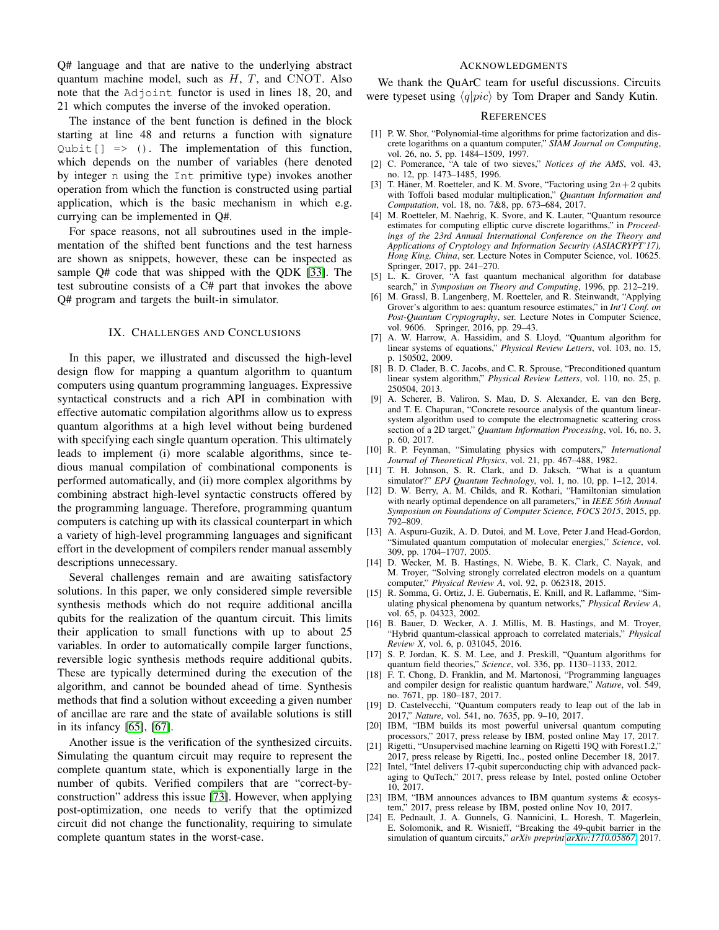Q# language and that are native to the underlying abstract quantum machine model, such as  $H, T$ , and CNOT. Also note that the Adjoint functor is used in lines 18, 20, and 21 which computes the inverse of the invoked operation.

The instance of the bent function is defined in the block starting at line 48 and returns a function with signature Qubit  $\lceil \rceil$  => (). The implementation of this function, which depends on the number of variables (here denoted by integer n using the Int primitive type) invokes another operation from which the function is constructed using partial application, which is the basic mechanism in which e.g. currying can be implemented in Q#.

For space reasons, not all subroutines used in the implementation of the shifted bent functions and the test harness are shown as snippets, however, these can be inspected as sample Q# code that was shipped with the QDK [\[33\]](#page-9-8). The test subroutine consists of a C# part that invokes the above Q# program and targets the built-in simulator.

# IX. CHALLENGES AND CONCLUSIONS

In this paper, we illustrated and discussed the high-level design flow for mapping a quantum algorithm to quantum computers using quantum programming languages. Expressive syntactical constructs and a rich API in combination with effective automatic compilation algorithms allow us to express quantum algorithms at a high level without being burdened with specifying each single quantum operation. This ultimately leads to implement (i) more scalable algorithms, since tedious manual compilation of combinational components is performed automatically, and (ii) more complex algorithms by combining abstract high-level syntactic constructs offered by the programming language. Therefore, programming quantum computers is catching up with its classical counterpart in which a variety of high-level programming languages and significant effort in the development of compilers render manual assembly descriptions unnecessary.

Several challenges remain and are awaiting satisfactory solutions. In this paper, we only considered simple reversible synthesis methods which do not require additional ancilla qubits for the realization of the quantum circuit. This limits their application to small functions with up to about 25 variables. In order to automatically compile larger functions, reversible logic synthesis methods require additional qubits. These are typically determined during the execution of the algorithm, and cannot be bounded ahead of time. Synthesis methods that find a solution without exceeding a given number of ancillae are rare and the state of available solutions is still in its infancy [\[65\]](#page-9-40), [\[67\]](#page-9-42).

Another issue is the verification of the synthesized circuits. Simulating the quantum circuit may require to represent the complete quantum state, which is exponentially large in the number of qubits. Verified compilers that are "correct-byconstruction" address this issue [\[73\]](#page-9-48). However, when applying post-optimization, one needs to verify that the optimized circuit did not change the functionality, requiring to simulate complete quantum states in the worst-case.

## ACKNOWLEDGMENTS

We thank the QuArC team for useful discussions. Circuits were typeset using  $\langle q|pic \rangle$  by Tom Draper and Sandy Kutin.

## **REFERENCES**

- <span id="page-8-0"></span>[1] P. W. Shor, "Polynomial-time algorithms for prime factorization and discrete logarithms on a quantum computer," *SIAM Journal on Computing*, vol. 26, no. 5, pp. 1484–1509, 1997.
- <span id="page-8-1"></span>[2] C. Pomerance, "A tale of two sieves," *Notices of the AMS*, vol. 43, no. 12, pp. 1473–1485, 1996.
- <span id="page-8-2"></span>[3] T. Häner, M. Roetteler, and K. M. Svore, "Factoring using  $2n+2$  qubits with Toffoli based modular multiplication," *Quantum Information and Computation*, vol. 18, no. 7&8, pp. 673–684, 2017.
- <span id="page-8-3"></span>[4] M. Roetteler, M. Naehrig, K. Svore, and K. Lauter, "Quantum resource estimates for computing elliptic curve discrete logarithms," in *Proceedings of the 23rd Annual International Conference on the Theory and Applications of Cryptology and Information Security (ASIACRYPT'17), Hong King, China*, ser. Lecture Notes in Computer Science, vol. 10625. Springer, 2017, pp. 241–270.
- <span id="page-8-4"></span>[5] L. K. Grover, "A fast quantum mechanical algorithm for database search," in *Symposium on Theory and Computing*, 1996, pp. 212–219.
- <span id="page-8-5"></span>[6] M. Grassl, B. Langenberg, M. Roetteler, and R. Steinwandt, "Applying Grover's algorithm to aes: quantum resource estimates," in *Int'l Conf. on Post-Quantum Cryptography*, ser. Lecture Notes in Computer Science, vol. 9606. Springer, 2016, pp. 29–43.
- <span id="page-8-6"></span>[7] A. W. Harrow, A. Hassidim, and S. Lloyd, "Quantum algorithm for linear systems of equations," *Physical Review Letters*, vol. 103, no. 15, p. 150502, 2009.
- <span id="page-8-7"></span>[8] B. D. Clader, B. C. Jacobs, and C. R. Sprouse, "Preconditioned quantum linear system algorithm," *Physical Review Letters*, vol. 110, no. 25, p. 250504, 2013.
- <span id="page-8-8"></span>[9] A. Scherer, B. Valiron, S. Mau, D. S. Alexander, E. van den Berg, and T. E. Chapuran, "Concrete resource analysis of the quantum linearsystem algorithm used to compute the electromagnetic scattering cross section of a 2D target," *Quantum Information Processing*, vol. 16, no. 3, p. 60, 2017.
- <span id="page-8-9"></span>[10] R. P. Feynman, "Simulating physics with computers," *International Journal of Theoretical Physics*, vol. 21, pp. 467–488, 1982.
- <span id="page-8-10"></span>[11] T. H. Johnson, S. R. Clark, and D. Jaksch, "What is a quantum simulator?" *EPJ Quantum Technology*, vol. 1, no. 10, pp. 1–12, 2014.
- <span id="page-8-11"></span>[12] D. W. Berry, A. M. Childs, and R. Kothari, "Hamiltonian simulation with nearly optimal dependence on all parameters," in *IEEE 56th Annual Symposium on Foundations of Computer Science, FOCS 2015*, 2015, pp. 792–809.
- <span id="page-8-12"></span>[13] A. Aspuru-Guzik, A. D. Dutoi, and M. Love, Peter J.and Head-Gordon, "Simulated quantum computation of molecular energies," *Science*, vol. 309, pp. 1704–1707, 2005.
- <span id="page-8-13"></span>[14] D. Wecker, M. B. Hastings, N. Wiebe, B. K. Clark, C. Nayak, and M. Troyer, "Solving strongly correlated electron models on a quantum computer," *Physical Review A*, vol. 92, p. 062318, 2015.
- <span id="page-8-14"></span>[15] R. Somma, G. Ortiz, J. E. Gubernatis, E. Knill, and R. Laflamme, "Simulating physical phenomena by quantum networks," *Physical Review A*, vol. 65, p. 04323, 2002.
- <span id="page-8-15"></span>[16] B. Bauer, D. Wecker, A. J. Millis, M. B. Hastings, and M. Troyer, "Hybrid quantum-classical approach to correlated materials," *Physical Review X*, vol. 6, p. 031045, 2016.
- <span id="page-8-16"></span>[17] S. P. Jordan, K. S. M. Lee, and J. Preskill, "Quantum algorithms for quantum field theories," *Science*, vol. 336, pp. 1130–1133, 2012.
- <span id="page-8-17"></span>[18] F. T. Chong, D. Franklin, and M. Martonosi, "Programming languages and compiler design for realistic quantum hardware," *Nature*, vol. 549, no. 7671, pp. 180–187, 2017.
- <span id="page-8-18"></span>[19] D. Castelvecchi, "Quantum computers ready to leap out of the lab in 2017," *Nature*, vol. 541, no. 7635, pp. 9–10, 2017.
- <span id="page-8-19"></span>[20] IBM, "IBM builds its most powerful universal quantum computing processors," 2017, press release by IBM, posted online May 17, 2017.
- <span id="page-8-20"></span>[21] Rigetti, "Unsupervised machine learning on Rigetti 19Q with Forest1.2," 2017, press release by Rigetti, Inc., posted online December 18, 2017.
- <span id="page-8-21"></span>[22] Intel, "Intel delivers 17-qubit superconducting chip with advanced packaging to QuTech," 2017, press release by Intel, posted online October 10, 2017.
- <span id="page-8-22"></span>[23] IBM, "IBM announces advances to IBM quantum systems & ecosystem," 2017, press release by IBM, posted online Nov 10, 2017.
- <span id="page-8-23"></span>[24] E. Pednault, J. A. Gunnels, G. Nannicini, L. Horesh, T. Magerlein, E. Solomonik, and R. Wisnieff, "Breaking the 49-qubit barrier in the simulation of quantum circuits," *arXiv preprint [arXiv:1710.05867](http://arxiv.org/abs/1710.05867)*, 2017.